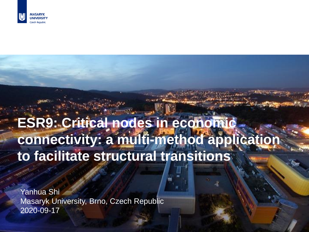

# **ESR9: Critical nodes in economic connectivity: a multi-method application to facilitate structural transitions**

Developing ideas, inspiring people 1

Yanhua Shi Masaryk University, Brno, Czech Republic 2020-09-17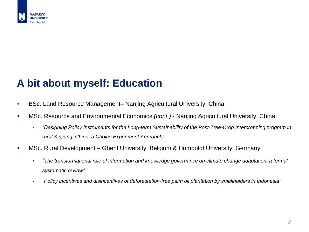

## **A bit about myself: Education**

- BSc. Land Resource Management– Nanjing Agricultural University, China
- MSc. Resource and Environmental Economics *(cont.)*  Nanjing Agricultural University, China
	- *"Designing Policy Instruments for the Long-term Sustainability of the Post-Tree-Crop Intercropping program in rural Xinjiang, China: a Choice Experiment Approach"*
- MSc. Rural Development Ghent University, Belgium & Humboldt University, Germany
	- *"The transformational role of information and knowledge governance on climate change adaptation: a formal systematic review"*
	- *"Policy incentives and disincentives of deforestation-free palm oil plantation by smallholders in Indonesia"*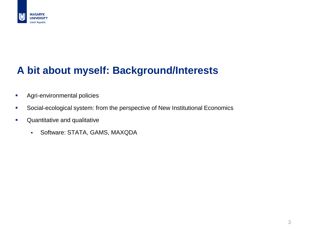

# **A bit about myself: Background/Interests**

- **Agri-environmental policies**
- **Social-ecological system: from the perspective of New Institutional Economics**
- **•** Quantitative and qualitative
	- Software: STATA, GAMS, MAXQDA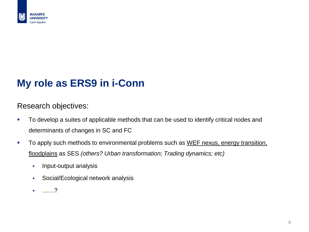

#### **My role as ERS9 in i-Conn**

Research objectives:

- **To develop a suites of applicable methods that can be used to identify critical nodes and** determinants of changes in SC and FC
- To apply such methods to environmental problems such as WEF nexus, energy transition, floodplains as SES *(others? Urban transformation; Trading dynamics; etc)*
	- Input-output analysis
	- **Social/Ecological network analysis**
	- ……?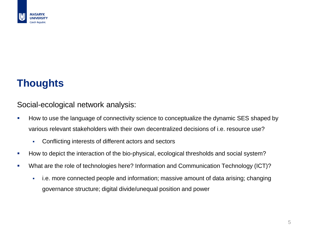

## **Thoughts**

Social-ecological network analysis:

- How to use the language of connectivity science to conceptualize the dynamic SES shaped by various relevant stakeholders with their own decentralized decisions of i.e. resource use?
	- Conflicting interests of different actors and sectors
- How to depict the interaction of the bio-physical, ecological thresholds and social system?
- What are the role of technologies here? Information and Communication Technology (ICT)?
	- i.e. more connected people and information; massive amount of data arising; changing governance structure; digital divide/unequal position and power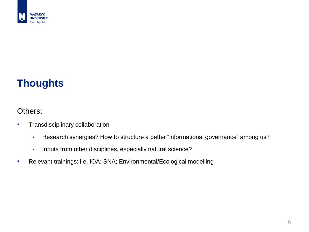

# **Thoughts**

#### Others:

- **Transdisciplinary collaboration** 
	- Research synergies? How to structure a better "informational governance" among us?
	- **Inputs from other disciplines, especially natural science?**
- Relevant trainings: i.e. IOA; SNA; Environmental/Ecological modelling